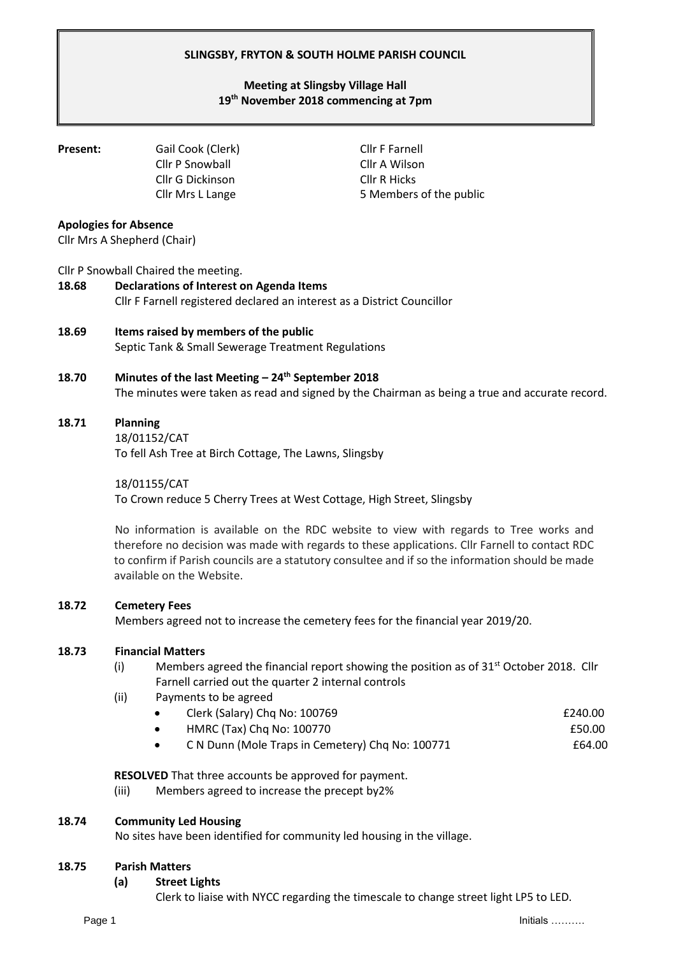## **SLINGSBY, FRYTON & SOUTH HOLME PARISH COUNCIL**

# **Meeting at Slingsby Village Hall 19th November 2018 commencing at 7pm**

**Present:** Gail Cook (Clerk) Cllr F Farnell Cllr P Snowball Cllr A Wilson Cllr G Dickinson Cllr R Hicks

Cllr Mrs L Lange 5 Members of the public

## **Apologies for Absence**

Cllr Mrs A Shepherd (Chair)

## Cllr P Snowball Chaired the meeting.

# **18.68 Declarations of Interest on Agenda Items**  Cllr F Farnell registered declared an interest as a District Councillor

**18.69 Items raised by members of the public** Septic Tank & Small Sewerage Treatment Regulations

## **18.70 Minutes of the last Meeting – 24th September 2018**

The minutes were taken as read and signed by the Chairman as being a true and accurate record.

### **18.71 Planning**

18/01152/CAT To fell Ash Tree at Birch Cottage, The Lawns, Slingsby

18/01155/CAT To Crown reduce 5 Cherry Trees at West Cottage, High Street, Slingsby

No information is available on the RDC website to view with regards to Tree works and therefore no decision was made with regards to these applications. Cllr Farnell to contact RDC to confirm if Parish councils are a statutory consultee and if so the information should be made available on the Website.

## **18.72 Cemetery Fees**

Members agreed not to increase the cemetery fees for the financial year 2019/20.

## **18.73 Financial Matters**

- (i) Members agreed the financial report showing the position as of  $31<sup>st</sup>$  October 2018. Cllr Farnell carried out the quarter 2 internal controls
- (ii) Payments to be agreed
	- Clerk (Salary) Chq No: 100769 **EXALL EXALL EXALL EXALL EXALL EXALL EXALL EXALL EXALL EXALL EXALL EXALL EXALL** 
		- HMRC (Tax) Chq No: 100770 **ESO.00**
		- C N Dunn (Mole Traps in Cemetery) Chq No: 100771 £64.00

**RESOLVED** That three accounts be approved for payment.

(iii) Members agreed to increase the precept by2%

## **18.74 Community Led Housing**

No sites have been identified for community led housing in the village.

#### **18.75 Parish Matters**

#### **(a) Street Lights**

Clerk to liaise with NYCC regarding the timescale to change street light LP5 to LED.